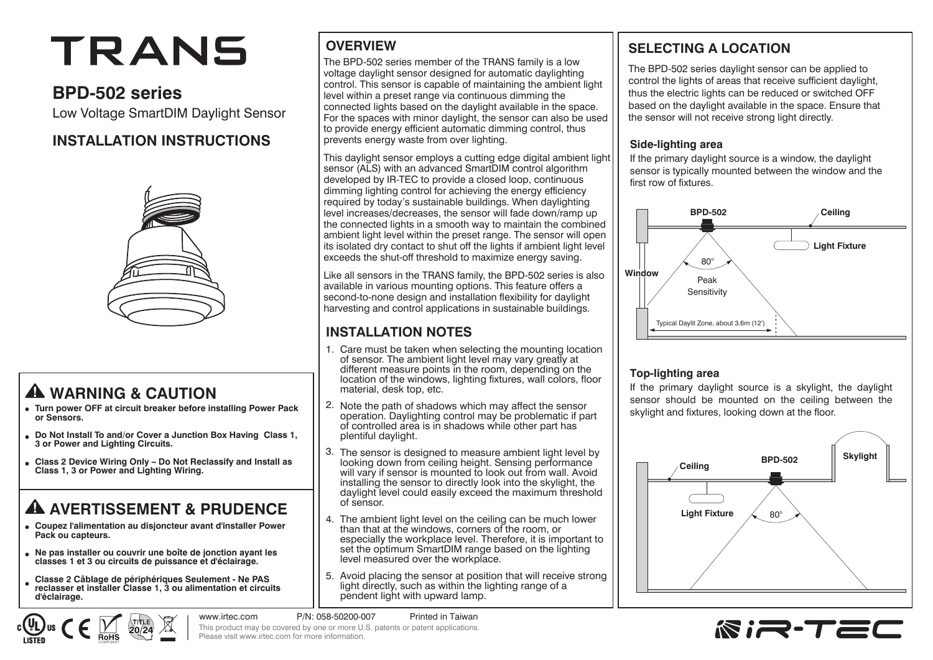# TRANS

# **BPD-502 series**

Low Voltage SmartDIM Daylight Sensor

# **INSTALLATION INSTRUCTIONS**



# **WARNING & CAUTION**

- **Turn power OFF at circuit breaker before installing Power Pack or Sensors.**
- **Do Not Install To and/or Cover a Junction Box Having Class 1, 3 or Power and Lighting Circuits.**
- **Class 2 Device Wiring Only Do Not Reclassify and Install as Class 1, 3 or Power and Lighting Wiring.**

# **A AVERTISSEMENT & PRUDENCE**

- **Coupez l'alimentation au disjoncteur avant d'installer Power Pack ou capteurs.**
- **Ne pas installer ou couvrir une boîte de jonction ayant les classes 1 et 3 ou circuits de puissance et d'éclairage.**
- **Classe 2 Câblage de périphériques Seulement Ne PAS reclasser et installer Classe 1, 3 ou alimentation et circuits d'éclairage.**

 $20/24$ 

# **OVERVIEW**

The BPD-502 series member of the TRANS family is a low voltage daylight sensor designed for automatic daylighting control. This sensor is capable of maintaining the ambient light level within a preset range via continuous dimming the connected lights based on the daylight available in the space. For the spaces with minor daylight, the sensor can also be used to provide energy efficient automatic dimming control, thus prevents energy waste from over lighting.

This daylight sensor employs a cutting edge digital ambient light sensor (ALS) with an advanced SmartDIM control algorithm developed by IR-TEC to provide a closed loop, continuous dimming lighting control for achieving the energy efficiency required by today's sustainable buildings. When daylighting level increases/decreases, the sensor will fade down/ramp up the connected lights in a smooth way to maintain the combined ambient light level within the preset range. The sensor will open its isolated dry contact to shut off the lights if ambient light level exceeds the shut-off threshold to maximize energy saving. Ĩ

Like all sensors in the TRANS family, the BPD-502 series is also available in various mounting options. This feature offers a second-to-none design and installation flexibility for daylight harvesting and control applications in sustainable buildings.

# **INSTALLATION NOTES**

- Care must be taken when selecting the mounting location 1. of sensor. The ambient light level may vary greatly at different measure points in the room, depending on the location of the windows, lighting fixtures, wall colors, floor material, desk top, etc.
- 2. Note the path of shadows which may affect the sensor operation. Daylighting control may be problematic if part of controlled area is in shadows while other part has plentiful daylight.
- The sensor is designed to measure ambient light level by 3. looking down from ceiling height. Sensing performance will vary if sensor is mounted to look out from wall. Avoid installing the sensor to directly look into the skylight, the daylight level could easily exceed the maximum threshold of sensor.
- The ambient light level on the ceiling can be much lower 4. than that at the windows, corners of the room, or especially the workplace level. Therefore, it is important to set the optimum SmartDIM range based on the lighting level measured over the workplace.
- 5. Avoid placing the sensor at position that will receive strong light directly, such as within the lighting range of a pendent light with upward lamp.

# **SELECTING A LOCATION**

The BPD-502 series daylight sensor can be applied to control the lights of areas that receive sufficient daylight, thus the electric lights can be reduced or switched OFF based on the daylight available in the space. Ensure that the sensor will not receive strong light directly.

#### **Side-lighting area**

If the primary daylight source is a window, the daylight sensor is typically mounted between the window and the first row of fixtures.



#### **Top-lighting area**

If the primary daylight source is a skylight, the daylight sensor should be mounted on the ceiling between the skylight and fixtures, looking down at the floor.





www.irtec.com P/N: 058-50200-007 Printed in Taiwan This product may be covered by one or more U.S. patents or patent applications. Please visit www.irtec.com for more information.